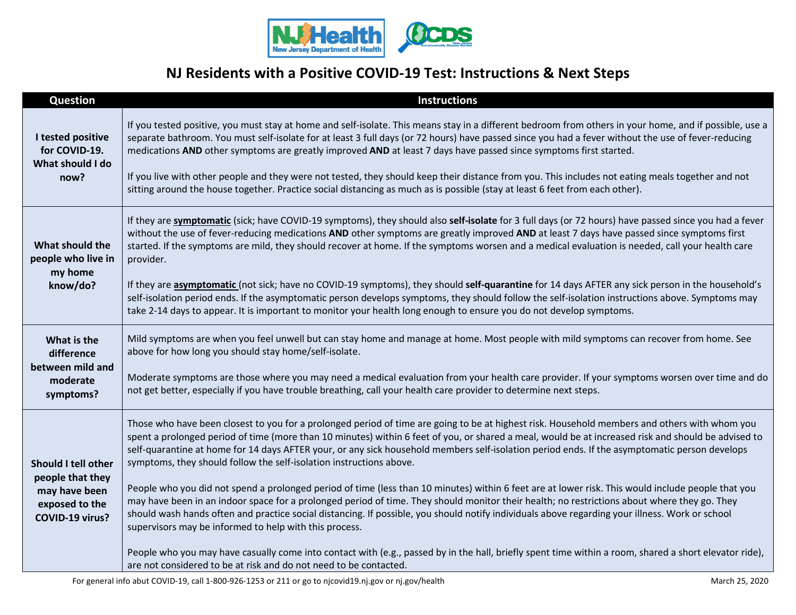

## **NJ Residents with a Positive COVID-19 Test: Instructions & Next Steps**

| <b>Question</b>                                                                               | <b>Instructions</b>                                                                                                                                                                                                                                                                                                                                                                                                                                                                                                                                                                                                                                                                                                                                                                                                                                                                                                                                                                                                                                                                                                                                                                                                                                                            |
|-----------------------------------------------------------------------------------------------|--------------------------------------------------------------------------------------------------------------------------------------------------------------------------------------------------------------------------------------------------------------------------------------------------------------------------------------------------------------------------------------------------------------------------------------------------------------------------------------------------------------------------------------------------------------------------------------------------------------------------------------------------------------------------------------------------------------------------------------------------------------------------------------------------------------------------------------------------------------------------------------------------------------------------------------------------------------------------------------------------------------------------------------------------------------------------------------------------------------------------------------------------------------------------------------------------------------------------------------------------------------------------------|
| I tested positive<br>for COVID-19.<br>What should I do<br>now?                                | If you tested positive, you must stay at home and self-isolate. This means stay in a different bedroom from others in your home, and if possible, use a<br>separate bathroom. You must self-isolate for at least 3 full days (or 72 hours) have passed since you had a fever without the use of fever-reducing<br>medications AND other symptoms are greatly improved AND at least 7 days have passed since symptoms first started.<br>If you live with other people and they were not tested, they should keep their distance from you. This includes not eating meals together and not<br>sitting around the house together. Practice social distancing as much as is possible (stay at least 6 feet from each other).                                                                                                                                                                                                                                                                                                                                                                                                                                                                                                                                                       |
| What should the<br>people who live in<br>my home<br>know/do?                                  | If they are symptomatic (sick; have COVID-19 symptoms), they should also self-isolate for 3 full days (or 72 hours) have passed since you had a fever<br>without the use of fever-reducing medications AND other symptoms are greatly improved AND at least 7 days have passed since symptoms first<br>started. If the symptoms are mild, they should recover at home. If the symptoms worsen and a medical evaluation is needed, call your health care<br>provider.<br>If they are asymptomatic (not sick; have no COVID-19 symptoms), they should self-quarantine for 14 days AFTER any sick person in the household's<br>self-isolation period ends. If the asymptomatic person develops symptoms, they should follow the self-isolation instructions above. Symptoms may<br>take 2-14 days to appear. It is important to monitor your health long enough to ensure you do not develop symptoms.                                                                                                                                                                                                                                                                                                                                                                            |
| What is the<br>difference<br>between mild and<br>moderate<br>symptoms?                        | Mild symptoms are when you feel unwell but can stay home and manage at home. Most people with mild symptoms can recover from home. See<br>above for how long you should stay home/self-isolate.<br>Moderate symptoms are those where you may need a medical evaluation from your health care provider. If your symptoms worsen over time and do<br>not get better, especially if you have trouble breathing, call your health care provider to determine next steps.                                                                                                                                                                                                                                                                                                                                                                                                                                                                                                                                                                                                                                                                                                                                                                                                           |
| Should I tell other<br>people that they<br>may have been<br>exposed to the<br>COVID-19 virus? | Those who have been closest to you for a prolonged period of time are going to be at highest risk. Household members and others with whom you<br>spent a prolonged period of time (more than 10 minutes) within 6 feet of you, or shared a meal, would be at increased risk and should be advised to<br>self-quarantine at home for 14 days AFTER your, or any sick household members self-isolation period ends. If the asymptomatic person develops<br>symptoms, they should follow the self-isolation instructions above.<br>People who you did not spend a prolonged period of time (less than 10 minutes) within 6 feet are at lower risk. This would include people that you<br>may have been in an indoor space for a prolonged period of time. They should monitor their health; no restrictions about where they go. They<br>should wash hands often and practice social distancing. If possible, you should notify individuals above regarding your illness. Work or school<br>supervisors may be informed to help with this process.<br>People who you may have casually come into contact with (e.g., passed by in the hall, briefly spent time within a room, shared a short elevator ride),<br>are not considered to be at risk and do not need to be contacted. |